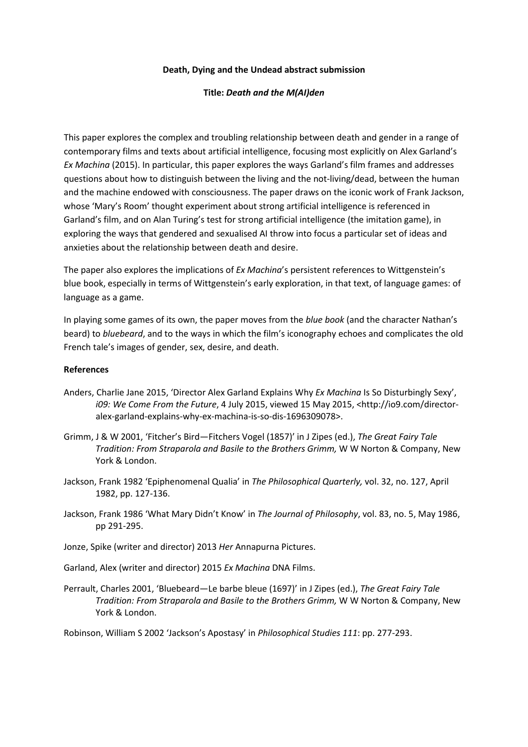## **Death, Dying and the Undead abstract submission**

## **Title:** *Death and the M(AI)den*

This paper explores the complex and troubling relationship between death and gender in a range of contemporary films and texts about artificial intelligence, focusing most explicitly on Alex Garland's *Ex Machina* (2015). In particular, this paper explores the ways Garland's film frames and addresses questions about how to distinguish between the living and the not-living/dead, between the human and the machine endowed with consciousness. The paper draws on the iconic work of Frank Jackson, whose 'Mary's Room' thought experiment about strong artificial intelligence is referenced in Garland's film, and on Alan Turing's test for strong artificial intelligence (the imitation game), in exploring the ways that gendered and sexualised AI throw into focus a particular set of ideas and anxieties about the relationship between death and desire.

The paper also explores the implications of *Ex Machina*'s persistent references to Wittgenstein's blue book, especially in terms of Wittgenstein's early exploration, in that text, of language games: of language as a game.

In playing some games of its own, the paper moves from the *blue book* (and the character Nathan's beard) to *bluebeard*, and to the ways in which the film's iconography echoes and complicates the old French tale's images of gender, sex, desire, and death.

## **References**

- Anders, Charlie Jane 2015, 'Director Alex Garland Explains Why *Ex Machina* Is So Disturbingly Sexy', *i09: We Come From the Future*, 4 July 2015, viewed 15 May 2015, <http://io9.com/directoralex-garland-explains-why-ex-machina-is-so-dis-1696309078>.
- Grimm, J & W 2001, 'Fitcher's Bird—Fitchers Vogel (1857)' in J Zipes (ed.), *The Great Fairy Tale Tradition: From Straparola and Basile to the Brothers Grimm,* W W Norton & Company, New York & London.
- Jackson, Frank 1982 'Epiphenomenal Qualia' in *The Philosophical Quarterly,* vol. 32, no. 127, April 1982, pp. 127-136.
- Jackson, Frank 1986 'What Mary Didn't Know' in *The Journal of Philosophy*, vol. 83, no. 5, May 1986, pp 291-295.
- Jonze, Spike (writer and director) 2013 *Her* Annapurna Pictures.
- Garland, Alex (writer and director) 2015 *Ex Machina* DNA Films.
- Perrault, Charles 2001, 'Bluebeard—Le barbe bleue (1697)' in J Zipes (ed.), *The Great Fairy Tale Tradition: From Straparola and Basile to the Brothers Grimm,* W W Norton & Company, New York & London.

Robinson, William S 2002 'Jackson's Apostasy' in *Philosophical Studies 111*: pp. 277-293.